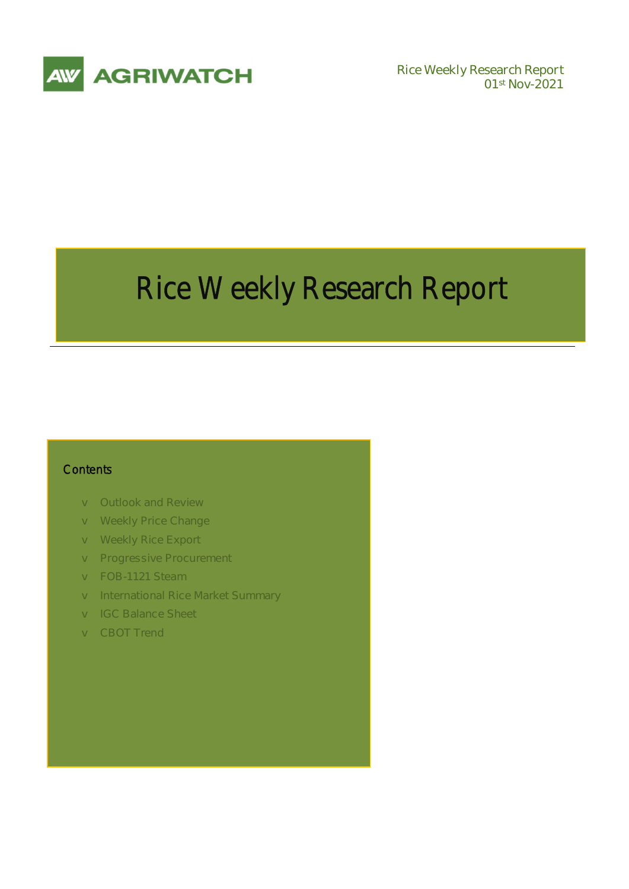

**01st Nov-2021** 

# Rice Weekly Research Report

### **Contents**

- v **Outlook and Review**
- v **Weekly Price Change**
- v **Weekly Rice Export**
- v **Progressive Procurement**
- v **FOB-1121 Steam**
- v **International Rice Market Summary**
- v **IGC Balance Sheet**
- v **CBOT Trend**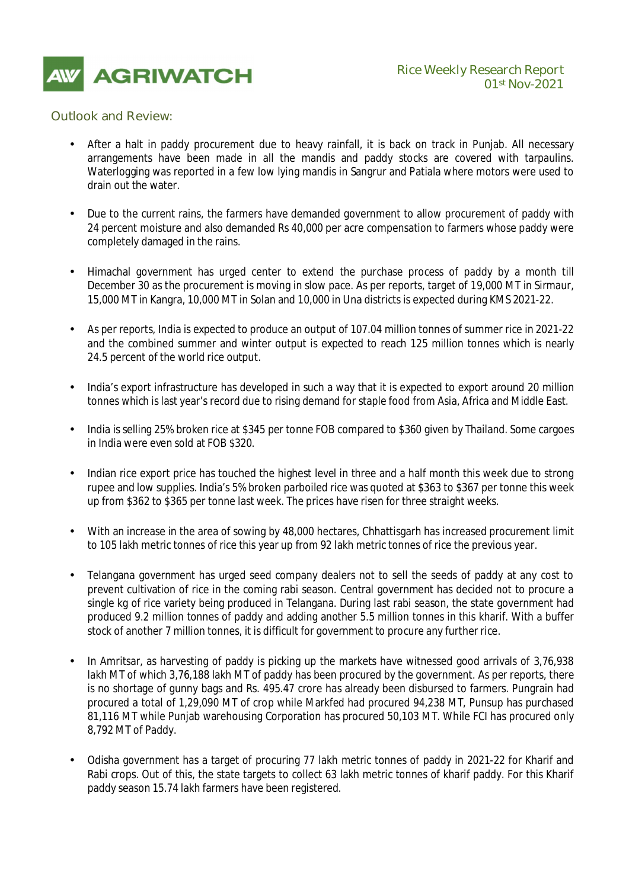

### *Outlook and Review:*

- After a halt in paddy procurement due to heavy rainfall, it is back on track in Punjab. All necessary arrangements have been made in all the mandis and paddy stocks are covered with tarpaulins. Waterlogging was reported in a few low lying mandis in Sangrur and Patiala where motors were used to drain out the water.
- Due to the current rains, the farmers have demanded government to allow procurement of paddy with 24 percent moisture and also demanded Rs 40,000 per acre compensation to farmers whose paddy were completely damaged in the rains.
- Himachal government has urged center to extend the purchase process of paddy by a month till December 30 as the procurement is moving in slow pace. As per reports, target of 19,000 MT in Sirmaur, 15,000 MT in Kangra, 10,000 MT in Solan and 10,000 in Una districts is expected during KMS 2021-22.
- As per reports, India is expected to produce an output of 107.04 million tonnes of summer rice in 2021-22 and the combined summer and winter output is expected to reach 125 million tonnes which is nearly 24.5 percent of the world rice output.
- India's export infrastructure has developed in such a way that it is expected to export around 20 million tonnes which is last year's record due to rising demand for staple food from Asia, Africa and Middle East.
- India is selling 25% broken rice at \$345 per tonne FOB compared to \$360 given by Thailand. Some cargoes in India were even sold at FOB \$320.
- Indian rice export price has touched the highest level in three and a half month this week due to strong rupee and low supplies. India's 5% broken parboiled rice was quoted at \$363 to \$367 per tonne this week up from \$362 to \$365 per tonne last week. The prices have risen for three straight weeks.
- With an increase in the area of sowing by 48,000 hectares, Chhattisgarh has increased procurement limit to 105 lakh metric tonnes of rice this year up from 92 lakh metric tonnes of rice the previous year.
- Telangana government has urged seed company dealers not to sell the seeds of paddy at any cost to prevent cultivation of rice in the coming rabi season. Central government has decided not to procure a single kg of rice variety being produced in Telangana. During last rabi season, the state government had produced 9.2 million tonnes of paddy and adding another 5.5 million tonnes in this kharif. With a buffer stock of another 7 million tonnes, it is difficult for government to procure any further rice.
- In Amritsar, as harvesting of paddy is picking up the markets have witnessed good arrivals of 3,76,938 lakh MT of which 3,76,188 lakh MT of paddy has been procured by the government. As per reports, there is no shortage of gunny bags and Rs. 495.47 crore has already been disbursed to farmers. Pungrain had procured a total of 1,29,090 MT of crop while Markfed had procured 94,238 MT, Punsup has purchased 81,116 MT while Punjab warehousing Corporation has procured 50,103 MT. While FCI has procured only 8,792 MT of Paddy.
- Odisha government has a target of procuring 77 lakh metric tonnes of paddy in 2021-22 for Kharif and Rabi crops. Out of this, the state targets to collect 63 lakh metric tonnes of kharif paddy. For this Kharif paddy season 15.74 lakh farmers have been registered.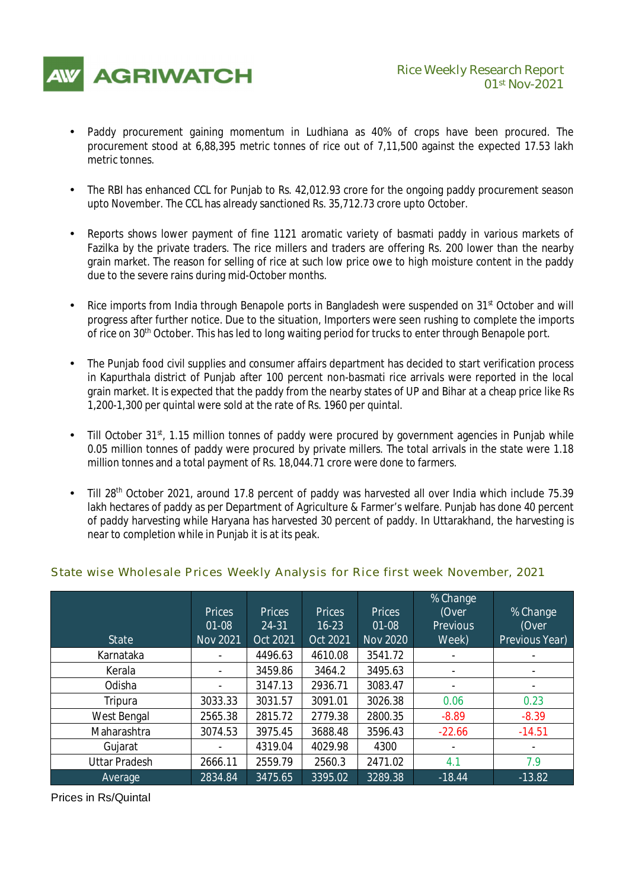

- Paddy procurement gaining momentum in Ludhiana as 40% of crops have been procured. The procurement stood at 6,88,395 metric tonnes of rice out of 7,11,500 against the expected 17.53 lakh metric tonnes.
- The RBI has enhanced CCL for Punjab to Rs. 42,012.93 crore for the ongoing paddy procurement season upto November. The CCL has already sanctioned Rs. 35,712.73 crore upto October.
- Reports shows lower payment of fine 1121 aromatic variety of basmati paddy in various markets of Fazilka by the private traders. The rice millers and traders are offering Rs. 200 lower than the nearby grain market. The reason for selling of rice at such low price owe to high moisture content in the paddy due to the severe rains during mid-October months.
- Rice imports from India through Benapole ports in Bangladesh were suspended on 31<sup>st</sup> October and will progress after further notice. Due to the situation, Importers were seen rushing to complete the imports of rice on 30th October. This has led to long waiting period for trucks to enter through Benapole port.
- The Punjab food civil supplies and consumer affairs department has decided to start verification process in Kapurthala district of Punjab after 100 percent non-basmati rice arrivals were reported in the local grain market. It is expected that the paddy from the nearby states of UP and Bihar at a cheap price like Rs 1,200-1,300 per quintal were sold at the rate of Rs. 1960 per quintal.
- Till October 31st, 1.15 million tonnes of paddy were procured by government agencies in Punjab while 0.05 million tonnes of paddy were procured by private millers. The total arrivals in the state were 1.18 million tonnes and a total payment of Rs. 18,044.71 crore were done to farmers.
- Till 28<sup>th</sup> October 2021, around 17.8 percent of paddy was harvested all over India which include 75.39 lakh hectares of paddy as per Department of Agriculture & Farmer's welfare. Punjab has done 40 percent of paddy harvesting while Haryana has harvested 30 percent of paddy. In Uttarakhand, the harvesting is near to completion while in Punjab it is at its peak.

| <b>State</b>         | <b>Prices</b><br>$01 - 08$<br><b>Nov 2021</b> | <b>Prices</b><br>24-31<br><b>Oct 2021</b> | <b>Prices</b><br>$16 - 23$<br><b>Oct 2021</b> | <b>Prices</b><br>$01 - 08$<br><b>Nov 2020</b> | % Change<br>(Over<br><b>Previous</b><br>Week) | % Change<br>(Over<br><b>Previous Year)</b> |
|----------------------|-----------------------------------------------|-------------------------------------------|-----------------------------------------------|-----------------------------------------------|-----------------------------------------------|--------------------------------------------|
| Karnataka            | ۰                                             | 4496.63                                   | 4610.08                                       | 3541.72                                       | -                                             |                                            |
| Kerala               | $\blacksquare$                                | 3459.86                                   | 3464.2                                        | 3495.63                                       | ۰                                             |                                            |
| Odisha               | ۰                                             | 3147.13                                   | 2936.71                                       | 3083.47                                       | ۰                                             |                                            |
| Tripura              | 3033.33                                       | 3031.57                                   | 3091.01                                       | 3026.38                                       | 0.06                                          | 0.23                                       |
| West Bengal          | 2565.38                                       | 2815.72                                   | 2779.38                                       | 2800.35                                       | $-8.89$                                       | $-8.39$                                    |
| Maharashtra          | 3074.53                                       | 3975.45                                   | 3688.48                                       | 3596.43                                       | $-22.66$                                      | $-14.51$                                   |
| Gujarat              | ۰                                             | 4319.04                                   | 4029.98                                       | 4300                                          | ۰                                             |                                            |
| <b>Uttar Pradesh</b> | 2666.11                                       | 2559.79                                   | 2560.3                                        | 2471.02                                       | 4.1                                           | 7.9                                        |
| Average              | 2834.84                                       | 3475.65                                   | 3395.02                                       | 3289.38                                       | $-18.44$                                      | $-13.82$                                   |

### *State wise Wholesale Prices Weekly Analysis for Rice first week November, 2021*

Prices in Rs/Quintal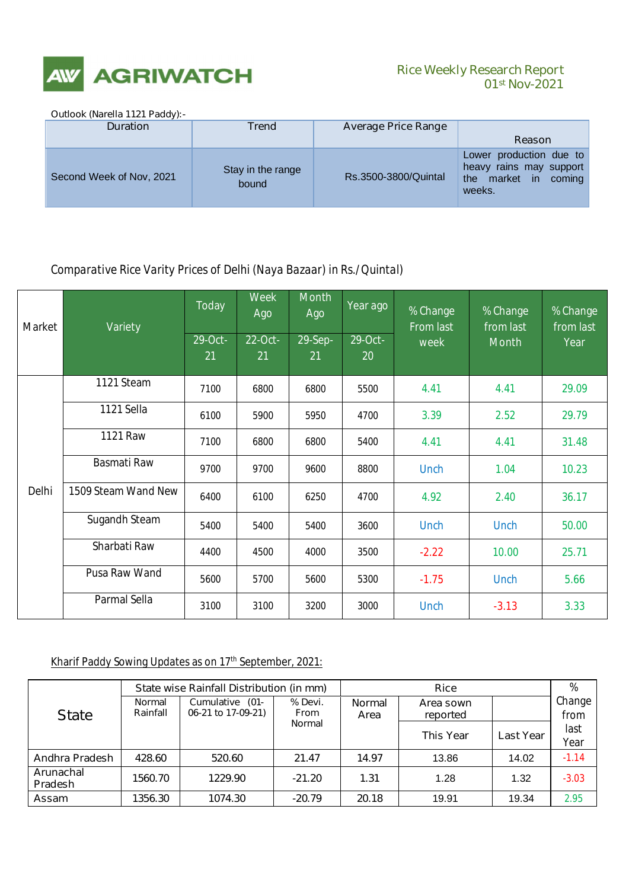

## **01st Nov-2021**

### **Outlook (Narella 1121 Paddy):-**

| <b>Duration</b>          | Trend                      | <b>Average Price Range</b> |                                                                                            |
|--------------------------|----------------------------|----------------------------|--------------------------------------------------------------------------------------------|
|                          |                            |                            | <b>Reason</b>                                                                              |
| Second Week of Nov, 2021 | Stay in the range<br>bound | Rs.3500-3800/Quintal       | Lower production due to<br>heavy rains may support<br>market in<br>the<br>coming<br>weeks. |

### *Comparative Rice Varity Prices of Delhi (Naya Bazaar) in Rs./Quintal)*

| <b>Market</b> | <b>Variety</b>       | <b>Today</b>  | <b>Week</b><br>Ago | <b>Month</b><br>Ago | Year ago             | % Change<br><b>From last</b> | % Change<br>from last | % Change<br>from last<br>Year |
|---------------|----------------------|---------------|--------------------|---------------------|----------------------|------------------------------|-----------------------|-------------------------------|
|               |                      | 29-Oct-<br>21 | 22-Oct-<br>21      | 29-Sep-<br>21       | 29-Oct-<br><b>20</b> | week                         | <b>Month</b>          |                               |
|               | 1121 Steam           | 7100          | 6800               | 6800                | 5500                 | 4.41                         | 4.41                  | 29.09                         |
|               | 1121 Sella           | 6100          | 5900               | 5950                | 4700                 | 3.39                         | 2.52                  | 29.79                         |
|               | <b>1121 Raw</b>      | 7100          | 6800               | 6800                | 5400                 | 4.41                         | 4.41                  | 31.48                         |
|               | <b>Basmati Raw</b>   | 9700          | 9700               | 9600                | 8800                 | <b>Unch</b>                  | 1.04                  | 10.23                         |
| <b>Delhi</b>  | 1509 Steam Wand New  | 6400          | 6100               | 6250                | 4700                 | 4.92                         | 2.40                  | 36.17                         |
|               | <b>Sugandh Steam</b> | 5400          | 5400               | 5400                | 3600                 | <b>Unch</b>                  | <b>Unch</b>           | 50.00                         |
|               | <b>Sharbati Raw</b>  | 4400          | 4500               | 4000                | 3500                 | $-2.22$                      | 10.00                 | 25.71                         |
|               | <b>Pusa Raw Wand</b> | 5600          | 5700               | 5600                | 5300                 | $-1.75$                      | <b>Unch</b>           | 5.66                          |
|               | <b>Parmal Sella</b>  | 3100          | 3100               | 3200                | 3000                 | <b>Unch</b>                  | $-3.13$               | 3.33                          |

### **Kharif Paddy Sowing Updates as on 17th September, 2021:**

|                             |                                               | State wise Rainfall Distribution (in mm) |               |               | %                |                  |         |
|-----------------------------|-----------------------------------------------|------------------------------------------|---------------|---------------|------------------|------------------|---------|
|                             | <b>Cumulative</b><br>$(01 -$<br><b>Normal</b> |                                          | % Devi.       | <b>Normal</b> | Area sown        |                  | Change  |
| <b>State</b>                | Rainfall                                      | 06-21 to 17-09-21)                       | <b>From</b>   | Area          | reported         |                  | from    |
|                             |                                               |                                          | <b>Normal</b> |               | <b>This Year</b> | <b>Last Year</b> | last    |
|                             |                                               |                                          |               |               |                  |                  | Year    |
| <b>Andhra Pradesh</b>       | 428.60                                        | 520.60                                   | 21.47         | 14.97         | 13.86            | 14.02            | $-1.14$ |
| Arunachal<br><b>Pradesh</b> | 1560.70                                       | 1229.90                                  | $-21.20$      | 1.31          | 1.28             | 1.32             | $-3.03$ |
| <b>Assam</b>                | 1356.30                                       | 1074.30                                  | $-20.79$      | 20.18         | 19.91            | 19.34            | 2.95    |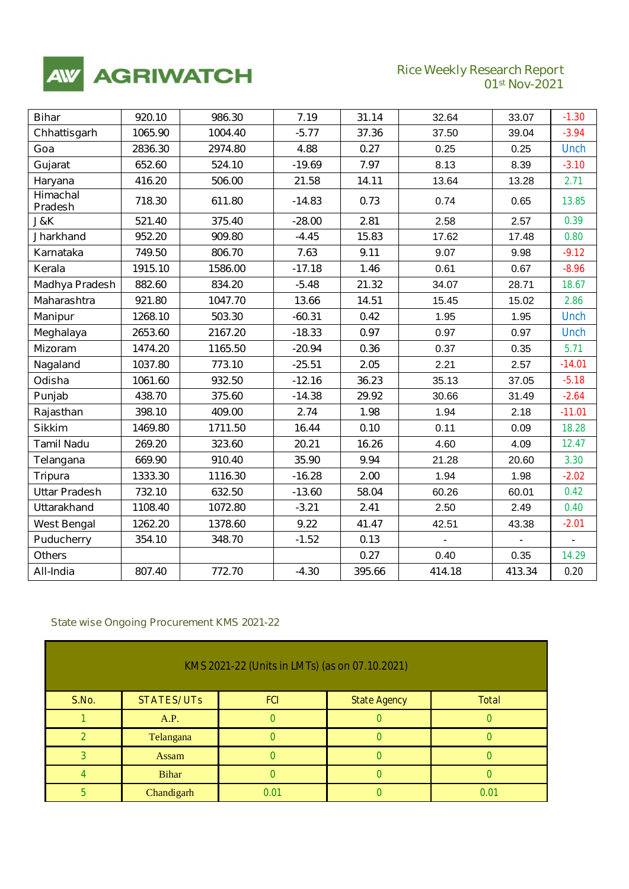

## **Rice Weekly Research Report**<br>**01st Nov-2021**

| <b>Bihar</b>                      | 920.10  | 986.30  | 7.19     | 31.14  | 32.64          | 33.07  | $-1.30$        |
|-----------------------------------|---------|---------|----------|--------|----------------|--------|----------------|
| Chhattisgarh                      | 1065.90 | 1004.40 | $-5.77$  | 37.36  | 37.50          | 39.04  | $-3.94$        |
| Goa                               | 2836.30 | 2974.80 | 4.88     | 0.27   | 0.25           | 0.25   | <b>Unch</b>    |
| Gujarat                           | 652.60  | 524.10  | $-19.69$ | 7.97   | 8.13           | 8.39   | $-3.10$        |
| Haryana                           | 416.20  | 506.00  | 21.58    | 14.11  | 13.64          | 13.28  | 2.71           |
| <b>Himachal</b><br><b>Pradesh</b> | 718.30  | 611.80  | $-14.83$ | 0.73   | 0.74           | 0.65   | 13.85          |
| J&K                               | 521.40  | 375.40  | $-28.00$ | 2.81   | 2.58           | 2.57   | 0.39           |
| <b>Jharkhand</b>                  | 952.20  | 909.80  | $-4.45$  | 15.83  | 17.62          | 17.48  | 0.80           |
| Karnataka                         | 749.50  | 806.70  | 7.63     | 9.11   | 9.07           | 9.98   | $-9.12$        |
| Kerala                            | 1915.10 | 1586.00 | $-17.18$ | 1.46   | 0.61           | 0.67   | $-8.96$        |
| <b>Madhya Pradesh</b>             | 882.60  | 834.20  | $-5.48$  | 21.32  | 34.07          | 28.71  | 18.67          |
| <b>Maharashtra</b>                | 921.80  | 1047.70 | 13.66    | 14.51  | 15.45          | 15.02  | 2.86           |
| <b>Manipur</b>                    | 1268.10 | 503.30  | $-60.31$ | 0.42   | 1.95           | 1.95   | <b>Unch</b>    |
| Meghalaya                         | 2653.60 | 2167.20 | $-18.33$ | 0.97   | 0.97           | 0.97   | <b>Unch</b>    |
| <b>Mizoram</b>                    | 1474.20 | 1165.50 | $-20.94$ | 0.36   | 0.37           | 0.35   | 5.71           |
| Nagaland                          | 1037.80 | 773.10  | $-25.51$ | 2.05   | 2.21           | 2.57   | $-14.01$       |
| Odisha                            | 1061.60 | 932.50  | $-12.16$ | 36.23  | 35.13          | 37.05  | $-5.18$        |
| Punjab                            | 438.70  | 375.60  | $-14.38$ | 29.92  | 30.66          | 31.49  | $-2.64$        |
| Rajasthan                         | 398.10  | 409.00  | 2.74     | 1.98   | 1.94           | 2.18   | $-11.01$       |
| <b>Sikkim</b>                     | 1469.80 | 1711.50 | 16.44    | 0.10   | 0.11           | 0.09   | 18.28          |
| <b>Tamil Nadu</b>                 | 269.20  | 323.60  | 20.21    | 16.26  | 4.60           | 4.09   | 12.47          |
| Telangana                         | 669.90  | 910.40  | 35.90    | 9.94   | 21.28          | 20.60  | 3.30           |
| <b>Tripura</b>                    | 1333.30 | 1116.30 | $-16.28$ | 2.00   | 1.94           | 1.98   | $-2.02$        |
| <b>Uttar Pradesh</b>              | 732.10  | 632.50  | $-13.60$ | 58.04  | 60.26          | 60.01  | 0.42           |
| <b>Uttarakhand</b>                | 1108.40 | 1072.80 | $-3.21$  | 2.41   | 2.50           | 2.49   | 0.40           |
| <b>West Bengal</b>                | 1262.20 | 1378.60 | 9.22     | 41.47  | 42.51          | 43.38  | $-2.01$        |
| <b>Puducherry</b>                 | 354.10  | 348.70  | $-1.52$  | 0.13   | $\blacksquare$ |        | $\blacksquare$ |
| <b>Others</b>                     |         |         |          | 0.27   | 0.40           | 0.35   | 14.29          |
| All-India                         | 807.40  | 772.70  | $-4.30$  | 395.66 | 414.18         | 413.34 | 0.20           |

### *State wise Ongoing Procurement KMS 2021-22*

| KMS 2021-22 (Units in LMTs) (as on 07.10.2021) |                   |            |                     |              |  |
|------------------------------------------------|-------------------|------------|---------------------|--------------|--|
| S.No.                                          | <b>STATES/UTs</b> | <b>FCI</b> | <b>State Agency</b> | <b>Total</b> |  |
|                                                | A.P.              |            |                     |              |  |
|                                                | Telangana         |            |                     |              |  |
| 2                                              | Assam             |            |                     |              |  |
|                                                | <b>Bihar</b>      |            |                     |              |  |
|                                                | Chandigarh        | 0.01       |                     | 0.01         |  |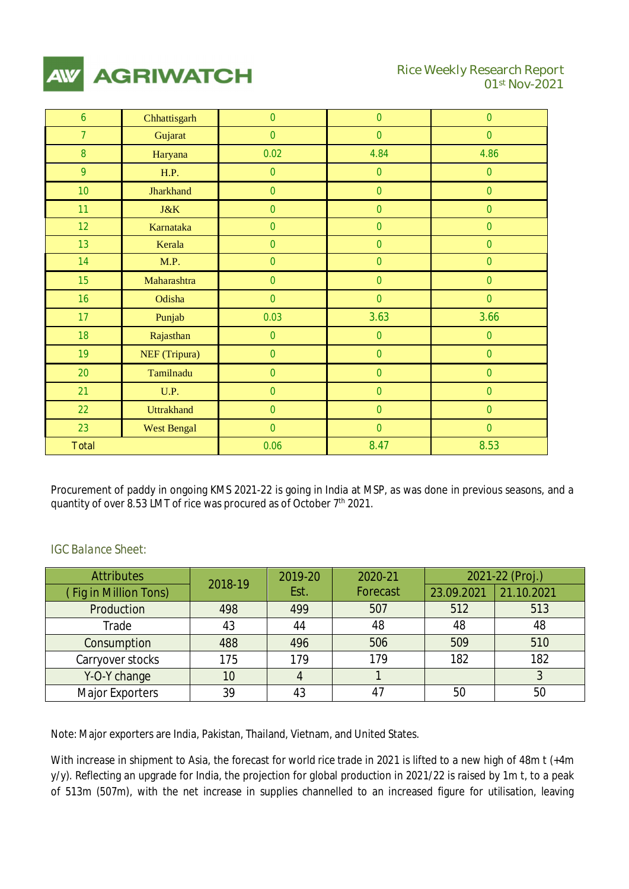

| 6               | Chhattisgarh         | $\mathcal O$ | $\mathcal O$ | $\mathcal O$ |
|-----------------|----------------------|--------------|--------------|--------------|
| $\overline{z}$  | Gujarat              | $\mathcal O$ | $\mathcal O$ | $\mathcal O$ |
| $\mathcal{S}$   | Haryana              | 0.02         | 4.84         | 4.86         |
| $\mathfrak{g}$  | <b>H.P.</b>          | $\mathcal O$ | $\mathcal O$ | $\mathcal O$ |
| 10 <sup>°</sup> | <b>Jharkhand</b>     | $\mathcal O$ | $\mathcal O$ | $\mathcal O$ |
| 11              | J&K                  | $\mathcal O$ | $\mathcal O$ | $\mathcal O$ |
| 12              | Karnataka            | $\mathcal O$ | $\mathcal O$ | $\mathcal O$ |
| 13              | Kerala               | $\mathcal O$ | $\mathcal O$ | $\mathcal O$ |
| 14              | M.P.                 | $\mathcal O$ | $\mathcal O$ | $\mathcal O$ |
| 15              | Maharashtra          | $\mathcal O$ | $\mathcal O$ | $\mathcal O$ |
| 16              | Odisha               | $\mathcal O$ | $\mathcal O$ | $\mathcal O$ |
| 17              | Punjab               | 0.03         | 3.63         | 3.66         |
| 18              | Rajasthan            | $\mathcal O$ | $\mathcal O$ | $\mathcal O$ |
| 19 <sup>°</sup> | <b>NEF</b> (Tripura) | $\mathcal O$ | $\mathcal O$ | $\mathcal O$ |
| 20 <sup>°</sup> | Tamilnadu            | $\mathcal O$ | $\mathcal O$ | $\mathcal O$ |
| 21              | U.P.                 | $\mathcal O$ | $\mathcal O$ | $\mathcal O$ |
| 22              | <b>Uttrakhand</b>    | $\mathcal O$ | $\mathcal O$ | $\mathcal O$ |
| 23              | <b>West Bengal</b>   | $\mathcal O$ | $\mathcal O$ | $\mathcal O$ |
| <b>Total</b>    |                      | 0.06         | 8.47         | 8.53         |

Procurement of paddy in ongoing KMS 2021-22 is going in India at MSP, as was done in previous seasons, and a quantity of over 8.53 LMT of rice was procured as of October 7<sup>th</sup> 2021.

### *IGC Balance Sheet:*

| <b>Attributes</b>     | 2018-19 | 2019-20 | 2020-21         |            | 2021-22 (Proj.) |
|-----------------------|---------|---------|-----------------|------------|-----------------|
| (Fig in Million Tons) |         | Est.    | <b>Forecast</b> | 23.09.2021 | 21.10.2021      |
| Production            | 498     | 499     | 507             | 512        | 513             |
| Trade                 | 43      | 44      | 48              | 48         | 48              |
| Consumption           | 488     | 496     | 506             | 509        | 510             |
| Carryover stocks      | 175     | 179     | 179             | 182        | 182             |
| Y-O-Y change          | 10      |         |                 |            |                 |
| Major Exporters       | 39      | 43      | 47              | 50         | 50              |

Note: Major exporters are India, Pakistan, Thailand, Vietnam, and United States.

With increase in shipment to Asia, the forecast for world rice trade in 2021 is lifted to a new high of 48m t (+4m y/y). Reflecting an upgrade for India, the projection for global production in 2021/22 is raised by 1m t, to a peak of 513m (507m), with the net increase in supplies channelled to an increased figure for utilisation, leaving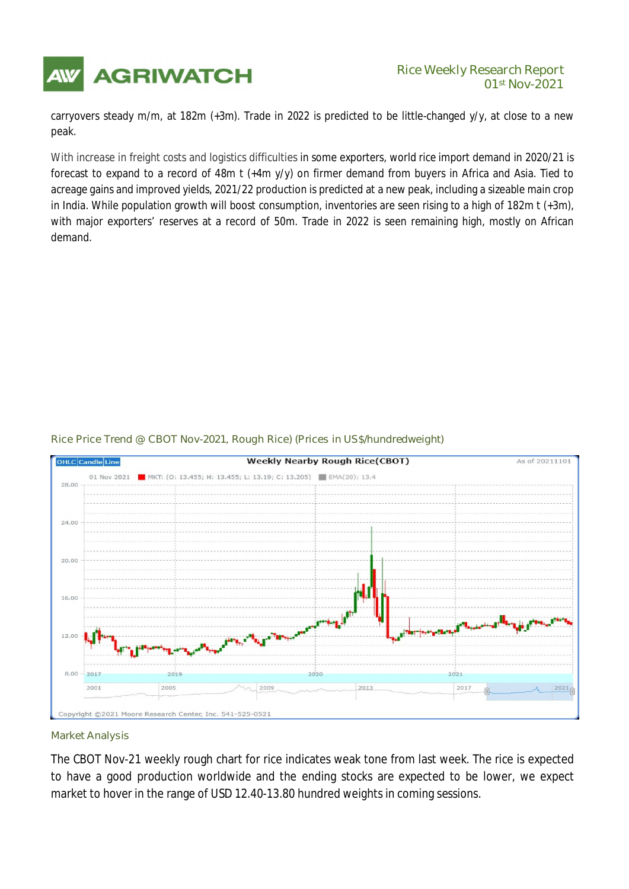

### **AGRIWATCH** Rice Weekly Research Report **01st Nov-2021**

carryovers steady m/m, at 182m (+3m). Trade in 2022 is predicted to be little-changed y/y, at close to a new peak.

With increase in freight costs and logistics difficulties in some exporters, world rice import demand in 2020/21 is forecast to expand to a record of 48m t (+4m y/y) on firmer demand from buyers in Africa and Asia. Tied to acreage gains and improved yields, 2021/22 production is predicted at a new peak, including a sizeable main crop in India. While population growth will boost consumption, inventories are seen rising to a high of 182m t (+3m), with major exporters' reserves at a record of 50m. Trade in 2022 is seen remaining high, mostly on African demand.

### *Rice Price Trend @ CBOT Nov-2021, Rough Rice) (Prices in US\$/hundredweight)*



#### *Market Analysis*

*The CBOT Nov-21* weekly rough chart for rice indicates weak tone from last week. The rice is expected to have a good production worldwide and the ending stocks are expected to be lower, we expect market to hover in the range of USD 12.40-13.80 hundred weights in coming sessions.